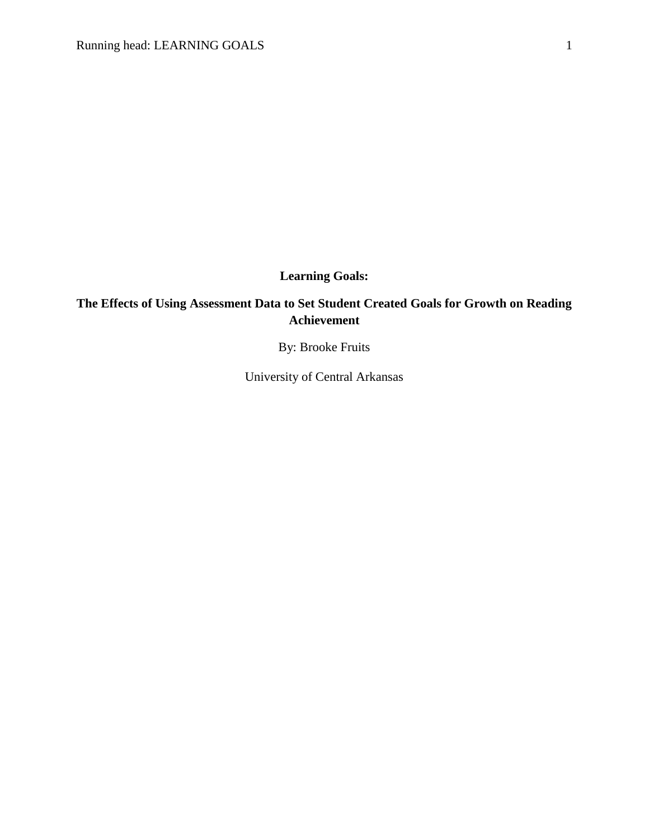**Learning Goals:**

# **The Effects of Using Assessment Data to Set Student Created Goals for Growth on Reading Achievement**

By: Brooke Fruits

University of Central Arkansas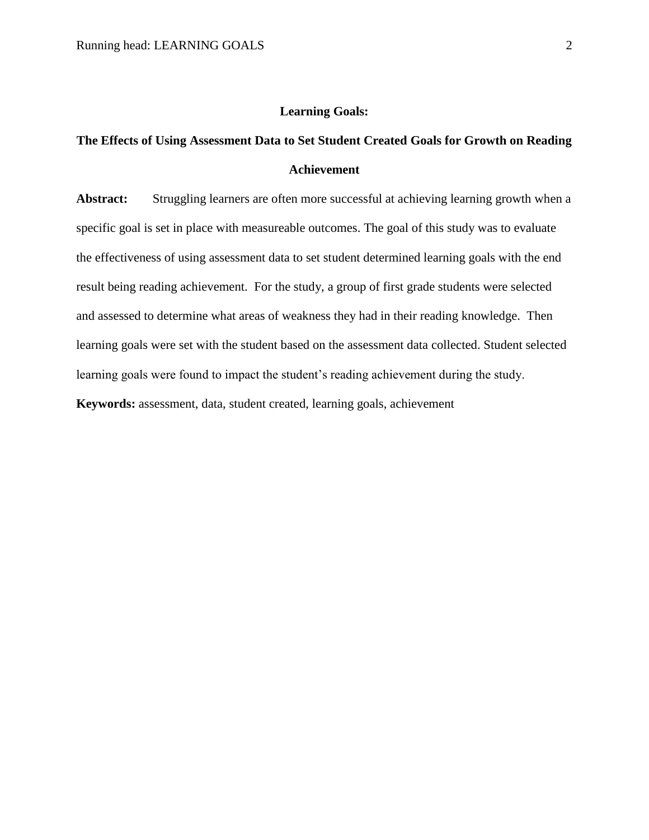# **Learning Goals:**

# **The Effects of Using Assessment Data to Set Student Created Goals for Growth on Reading Achievement**

Abstract: Struggling learners are often more successful at achieving learning growth when a specific goal is set in place with measureable outcomes. The goal of this study was to evaluate the effectiveness of using assessment data to set student determined learning goals with the end result being reading achievement. For the study, a group of first grade students were selected and assessed to determine what areas of weakness they had in their reading knowledge. Then learning goals were set with the student based on the assessment data collected. Student selected learning goals were found to impact the student's reading achievement during the study. **Keywords:** assessment, data, student created, learning goals, achievement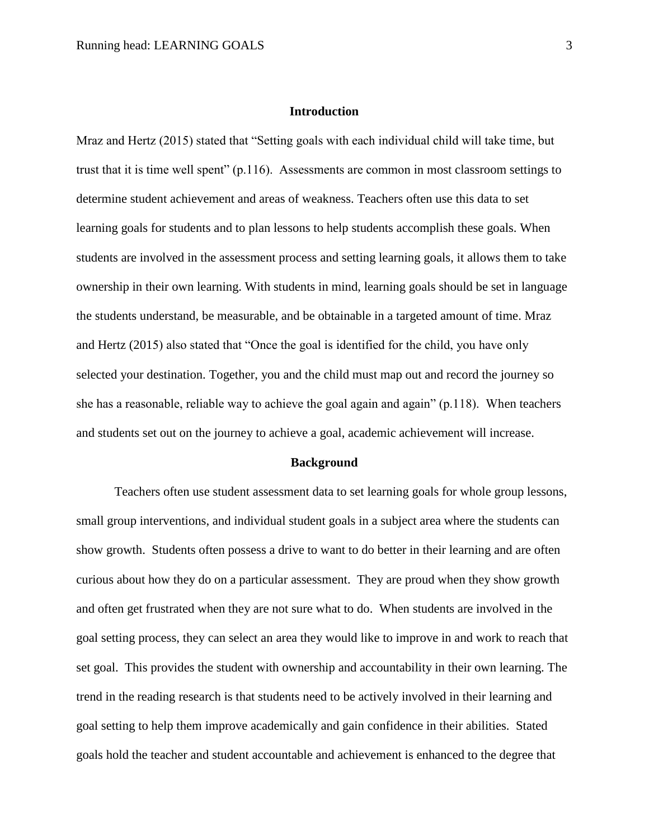# **Introduction**

Mraz and Hertz (2015) stated that "Setting goals with each individual child will take time, but trust that it is time well spent" (p.116). Assessments are common in most classroom settings to determine student achievement and areas of weakness. Teachers often use this data to set learning goals for students and to plan lessons to help students accomplish these goals. When students are involved in the assessment process and setting learning goals, it allows them to take ownership in their own learning. With students in mind, learning goals should be set in language the students understand, be measurable, and be obtainable in a targeted amount of time. Mraz and Hertz (2015) also stated that "Once the goal is identified for the child, you have only selected your destination. Together, you and the child must map out and record the journey so she has a reasonable, reliable way to achieve the goal again and again" (p.118). When teachers and students set out on the journey to achieve a goal, academic achievement will increase.

#### **Background**

Teachers often use student assessment data to set learning goals for whole group lessons, small group interventions, and individual student goals in a subject area where the students can show growth. Students often possess a drive to want to do better in their learning and are often curious about how they do on a particular assessment. They are proud when they show growth and often get frustrated when they are not sure what to do. When students are involved in the goal setting process, they can select an area they would like to improve in and work to reach that set goal. This provides the student with ownership and accountability in their own learning. The trend in the reading research is that students need to be actively involved in their learning and goal setting to help them improve academically and gain confidence in their abilities. Stated goals hold the teacher and student accountable and achievement is enhanced to the degree that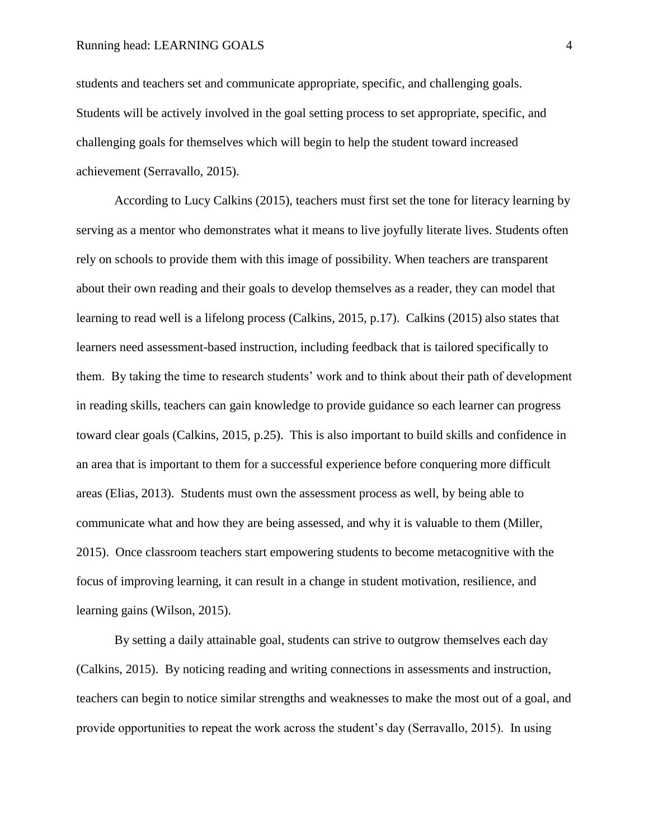students and teachers set and communicate appropriate, specific, and challenging goals. Students will be actively involved in the goal setting process to set appropriate, specific, and challenging goals for themselves which will begin to help the student toward increased achievement (Serravallo, 2015).

According to Lucy Calkins (2015), teachers must first set the tone for literacy learning by serving as a mentor who demonstrates what it means to live joyfully literate lives. Students often rely on schools to provide them with this image of possibility. When teachers are transparent about their own reading and their goals to develop themselves as a reader, they can model that learning to read well is a lifelong process (Calkins, 2015, p.17). Calkins (2015) also states that learners need assessment-based instruction, including feedback that is tailored specifically to them. By taking the time to research students' work and to think about their path of development in reading skills, teachers can gain knowledge to provide guidance so each learner can progress toward clear goals (Calkins, 2015, p.25). This is also important to build skills and confidence in an area that is important to them for a successful experience before conquering more difficult areas (Elias, 2013). Students must own the assessment process as well, by being able to communicate what and how they are being assessed, and why it is valuable to them (Miller, 2015). Once classroom teachers start empowering students to become metacognitive with the focus of improving learning, it can result in a change in student motivation, resilience, and learning gains (Wilson, 2015).

By setting a daily attainable goal, students can strive to outgrow themselves each day (Calkins, 2015). By noticing reading and writing connections in assessments and instruction, teachers can begin to notice similar strengths and weaknesses to make the most out of a goal, and provide opportunities to repeat the work across the student's day (Serravallo, 2015). In using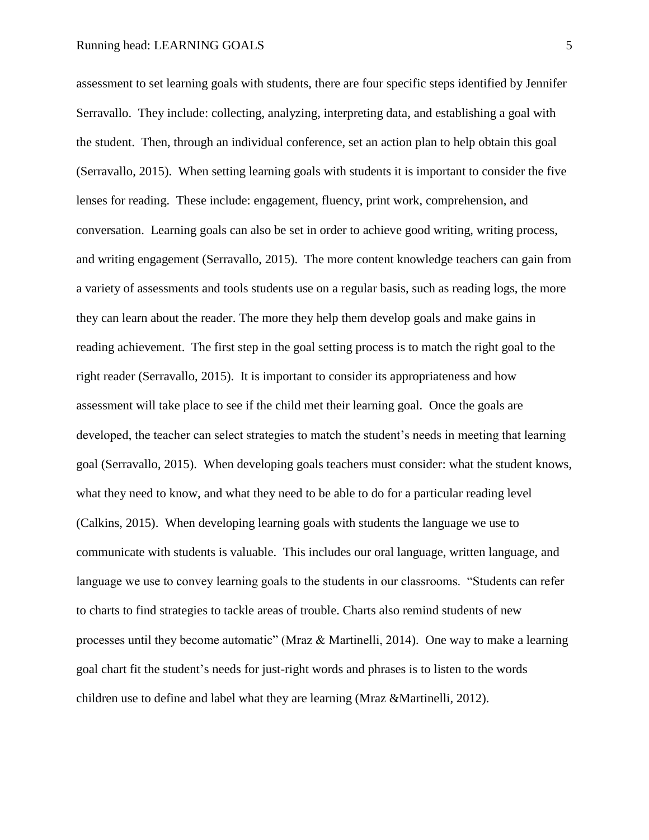assessment to set learning goals with students, there are four specific steps identified by Jennifer Serravallo. They include: collecting, analyzing, interpreting data, and establishing a goal with the student. Then, through an individual conference, set an action plan to help obtain this goal (Serravallo, 2015). When setting learning goals with students it is important to consider the five lenses for reading. These include: engagement, fluency, print work, comprehension, and conversation. Learning goals can also be set in order to achieve good writing, writing process, and writing engagement (Serravallo, 2015). The more content knowledge teachers can gain from a variety of assessments and tools students use on a regular basis, such as reading logs, the more they can learn about the reader. The more they help them develop goals and make gains in reading achievement. The first step in the goal setting process is to match the right goal to the right reader (Serravallo, 2015). It is important to consider its appropriateness and how assessment will take place to see if the child met their learning goal. Once the goals are developed, the teacher can select strategies to match the student's needs in meeting that learning goal (Serravallo, 2015). When developing goals teachers must consider: what the student knows, what they need to know, and what they need to be able to do for a particular reading level (Calkins, 2015). When developing learning goals with students the language we use to communicate with students is valuable. This includes our oral language, written language, and language we use to convey learning goals to the students in our classrooms. "Students can refer to charts to find strategies to tackle areas of trouble. Charts also remind students of new processes until they become automatic" (Mraz & Martinelli, 2014). One way to make a learning goal chart fit the student's needs for just-right words and phrases is to listen to the words children use to define and label what they are learning (Mraz &Martinelli, 2012).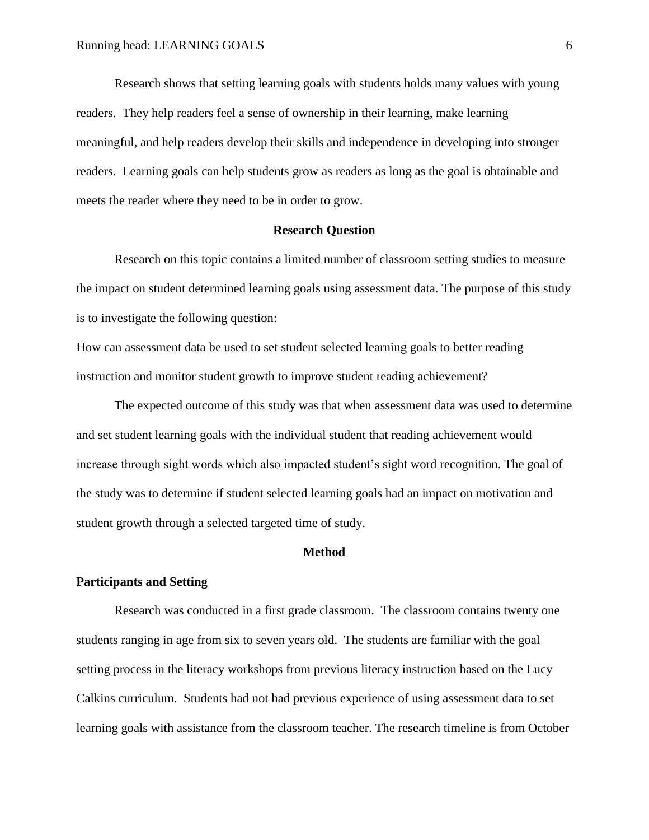Research shows that setting learning goals with students holds many values with young readers. They help readers feel a sense of ownership in their learning, make learning meaningful, and help readers develop their skills and independence in developing into stronger readers. Learning goals can help students grow as readers as long as the goal is obtainable and meets the reader where they need to be in order to grow.

#### **Research Question**

Research on this topic contains a limited number of classroom setting studies to measure the impact on student determined learning goals using assessment data. The purpose of this study is to investigate the following question:

How can assessment data be used to set student selected learning goals to better reading instruction and monitor student growth to improve student reading achievement?

The expected outcome of this study was that when assessment data was used to determine and set student learning goals with the individual student that reading achievement would increase through sight words which also impacted student's sight word recognition. The goal of the study was to determine if student selected learning goals had an impact on motivation and student growth through a selected targeted time of study.

#### **Method**

#### **Participants and Setting**

Research was conducted in a first grade classroom. The classroom contains twenty one students ranging in age from six to seven years old. The students are familiar with the goal setting process in the literacy workshops from previous literacy instruction based on the Lucy Calkins curriculum. Students had not had previous experience of using assessment data to set learning goals with assistance from the classroom teacher. The research timeline is from October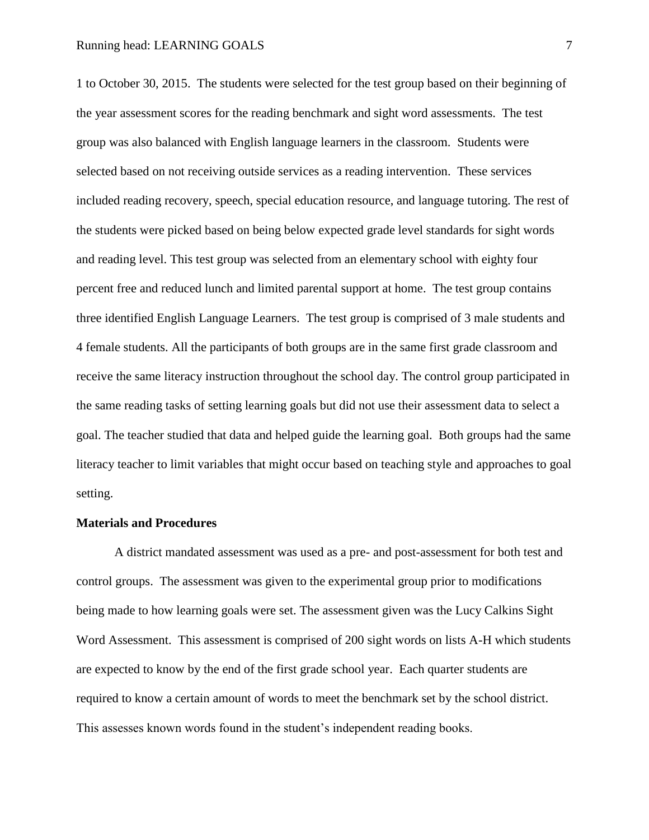1 to October 30, 2015. The students were selected for the test group based on their beginning of the year assessment scores for the reading benchmark and sight word assessments. The test group was also balanced with English language learners in the classroom. Students were selected based on not receiving outside services as a reading intervention. These services included reading recovery, speech, special education resource, and language tutoring. The rest of the students were picked based on being below expected grade level standards for sight words and reading level. This test group was selected from an elementary school with eighty four percent free and reduced lunch and limited parental support at home. The test group contains three identified English Language Learners. The test group is comprised of 3 male students and 4 female students. All the participants of both groups are in the same first grade classroom and receive the same literacy instruction throughout the school day. The control group participated in the same reading tasks of setting learning goals but did not use their assessment data to select a goal. The teacher studied that data and helped guide the learning goal. Both groups had the same literacy teacher to limit variables that might occur based on teaching style and approaches to goal setting.

#### **Materials and Procedures**

A district mandated assessment was used as a pre- and post-assessment for both test and control groups. The assessment was given to the experimental group prior to modifications being made to how learning goals were set. The assessment given was the Lucy Calkins Sight Word Assessment. This assessment is comprised of 200 sight words on lists A-H which students are expected to know by the end of the first grade school year. Each quarter students are required to know a certain amount of words to meet the benchmark set by the school district. This assesses known words found in the student's independent reading books.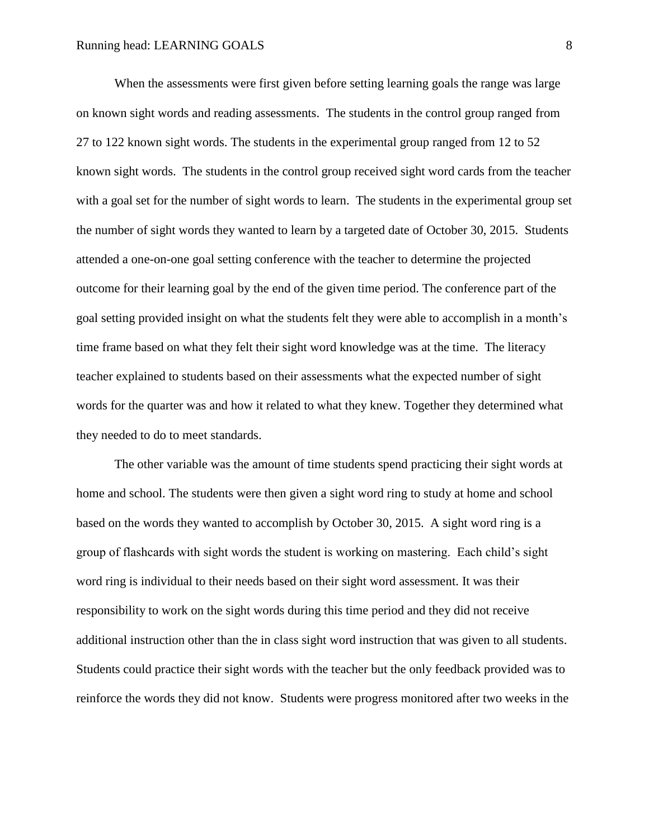When the assessments were first given before setting learning goals the range was large on known sight words and reading assessments. The students in the control group ranged from 27 to 122 known sight words. The students in the experimental group ranged from 12 to 52 known sight words. The students in the control group received sight word cards from the teacher with a goal set for the number of sight words to learn. The students in the experimental group set the number of sight words they wanted to learn by a targeted date of October 30, 2015. Students attended a one-on-one goal setting conference with the teacher to determine the projected outcome for their learning goal by the end of the given time period. The conference part of the goal setting provided insight on what the students felt they were able to accomplish in a month's time frame based on what they felt their sight word knowledge was at the time. The literacy teacher explained to students based on their assessments what the expected number of sight words for the quarter was and how it related to what they knew. Together they determined what they needed to do to meet standards.

The other variable was the amount of time students spend practicing their sight words at home and school. The students were then given a sight word ring to study at home and school based on the words they wanted to accomplish by October 30, 2015. A sight word ring is a group of flashcards with sight words the student is working on mastering. Each child's sight word ring is individual to their needs based on their sight word assessment. It was their responsibility to work on the sight words during this time period and they did not receive additional instruction other than the in class sight word instruction that was given to all students. Students could practice their sight words with the teacher but the only feedback provided was to reinforce the words they did not know. Students were progress monitored after two weeks in the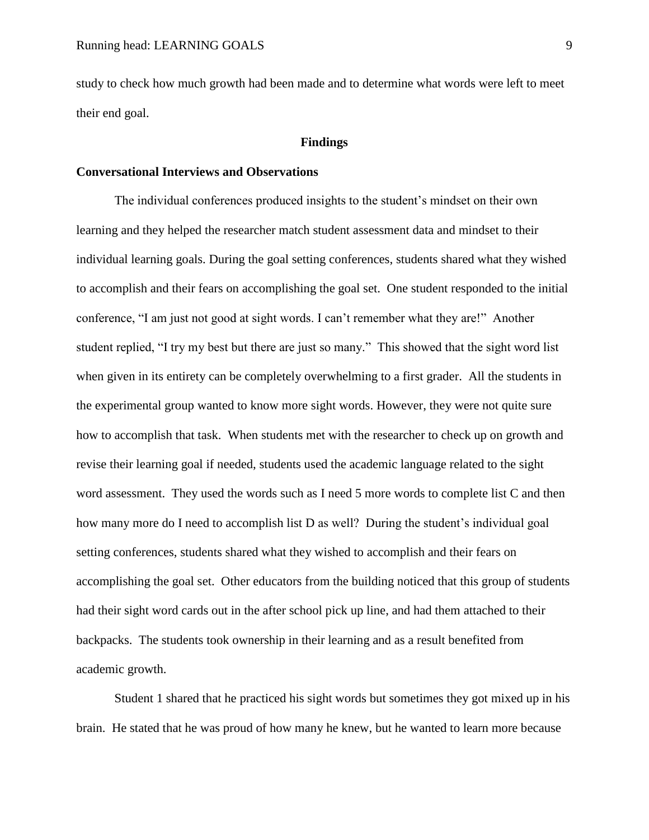study to check how much growth had been made and to determine what words were left to meet their end goal.

#### **Findings**

#### **Conversational Interviews and Observations**

The individual conferences produced insights to the student's mindset on their own learning and they helped the researcher match student assessment data and mindset to their individual learning goals. During the goal setting conferences, students shared what they wished to accomplish and their fears on accomplishing the goal set. One student responded to the initial conference, "I am just not good at sight words. I can't remember what they are!" Another student replied, "I try my best but there are just so many." This showed that the sight word list when given in its entirety can be completely overwhelming to a first grader. All the students in the experimental group wanted to know more sight words. However, they were not quite sure how to accomplish that task. When students met with the researcher to check up on growth and revise their learning goal if needed, students used the academic language related to the sight word assessment. They used the words such as I need 5 more words to complete list C and then how many more do I need to accomplish list D as well? During the student's individual goal setting conferences, students shared what they wished to accomplish and their fears on accomplishing the goal set. Other educators from the building noticed that this group of students had their sight word cards out in the after school pick up line, and had them attached to their backpacks. The students took ownership in their learning and as a result benefited from academic growth.

Student 1 shared that he practiced his sight words but sometimes they got mixed up in his brain. He stated that he was proud of how many he knew, but he wanted to learn more because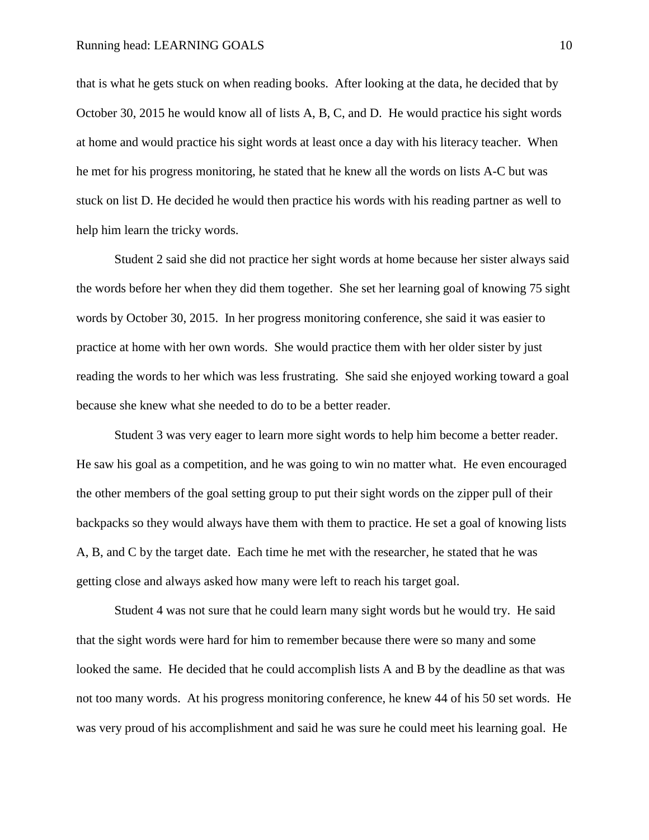that is what he gets stuck on when reading books. After looking at the data, he decided that by October 30, 2015 he would know all of lists A, B, C, and D. He would practice his sight words at home and would practice his sight words at least once a day with his literacy teacher. When he met for his progress monitoring, he stated that he knew all the words on lists A-C but was stuck on list D. He decided he would then practice his words with his reading partner as well to help him learn the tricky words.

Student 2 said she did not practice her sight words at home because her sister always said the words before her when they did them together. She set her learning goal of knowing 75 sight words by October 30, 2015. In her progress monitoring conference, she said it was easier to practice at home with her own words. She would practice them with her older sister by just reading the words to her which was less frustrating. She said she enjoyed working toward a goal because she knew what she needed to do to be a better reader.

Student 3 was very eager to learn more sight words to help him become a better reader. He saw his goal as a competition, and he was going to win no matter what. He even encouraged the other members of the goal setting group to put their sight words on the zipper pull of their backpacks so they would always have them with them to practice. He set a goal of knowing lists A, B, and C by the target date. Each time he met with the researcher, he stated that he was getting close and always asked how many were left to reach his target goal.

Student 4 was not sure that he could learn many sight words but he would try. He said that the sight words were hard for him to remember because there were so many and some looked the same. He decided that he could accomplish lists A and B by the deadline as that was not too many words. At his progress monitoring conference, he knew 44 of his 50 set words. He was very proud of his accomplishment and said he was sure he could meet his learning goal. He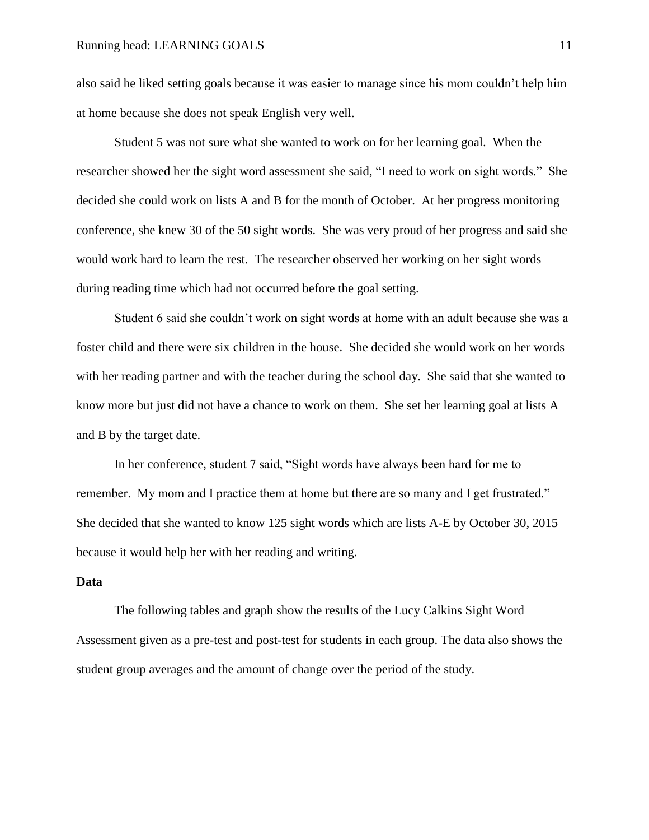also said he liked setting goals because it was easier to manage since his mom couldn't help him at home because she does not speak English very well.

Student 5 was not sure what she wanted to work on for her learning goal. When the researcher showed her the sight word assessment she said, "I need to work on sight words." She decided she could work on lists A and B for the month of October. At her progress monitoring conference, she knew 30 of the 50 sight words. She was very proud of her progress and said she would work hard to learn the rest. The researcher observed her working on her sight words during reading time which had not occurred before the goal setting.

Student 6 said she couldn't work on sight words at home with an adult because she was a foster child and there were six children in the house. She decided she would work on her words with her reading partner and with the teacher during the school day. She said that she wanted to know more but just did not have a chance to work on them. She set her learning goal at lists A and B by the target date.

In her conference, student 7 said, "Sight words have always been hard for me to remember. My mom and I practice them at home but there are so many and I get frustrated." She decided that she wanted to know 125 sight words which are lists A-E by October 30, 2015 because it would help her with her reading and writing.

### **Data**

The following tables and graph show the results of the Lucy Calkins Sight Word Assessment given as a pre-test and post-test for students in each group. The data also shows the student group averages and the amount of change over the period of the study.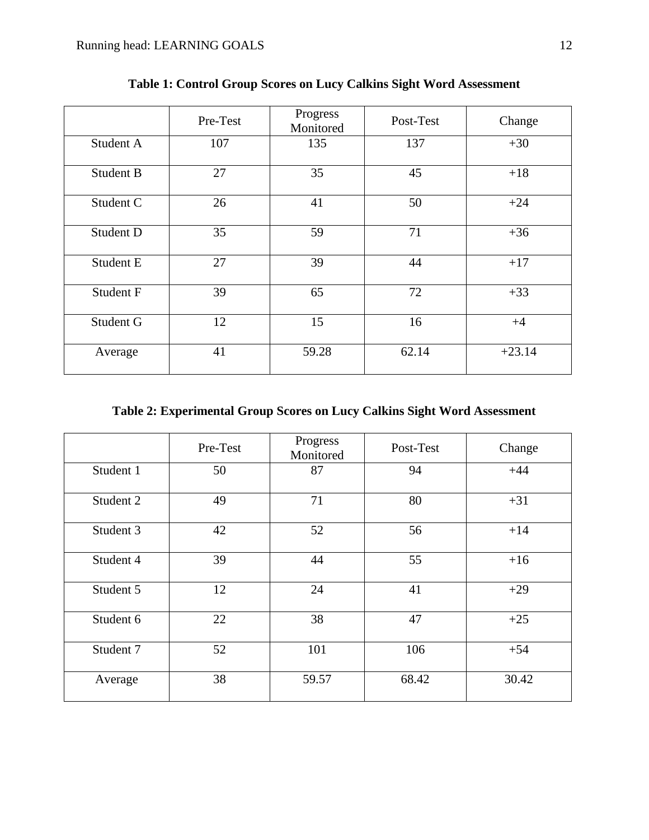|           | Pre-Test | Progress<br>Monitored | Post-Test | Change   |
|-----------|----------|-----------------------|-----------|----------|
| Student A | 107      | 135                   | 137       | $+30$    |
| Student B | 27       | 35                    | 45        | $+18$    |
| Student C | 26       | 41                    | 50        | $+24$    |
| Student D | 35       | 59                    | 71        | $+36$    |
| Student E | 27       | 39                    | 44        | $+17$    |
| Student F | 39       | 65                    | 72        | $+33$    |
| Student G | 12       | 15                    | 16        | $+4$     |
| Average   | 41       | 59.28                 | 62.14     | $+23.14$ |

**Table 1: Control Group Scores on Lucy Calkins Sight Word Assessment**

# **Table 2: Experimental Group Scores on Lucy Calkins Sight Word Assessment**

|           | Pre-Test | Progress<br>Monitored | Post-Test | Change |
|-----------|----------|-----------------------|-----------|--------|
| Student 1 | 50       | 87                    | 94        | $+44$  |
| Student 2 | 49       | 71                    | 80        | $+31$  |
| Student 3 | 42       | 52                    | 56        | $+14$  |
| Student 4 | 39       | 44                    | 55        | $+16$  |
| Student 5 | 12       | 24                    | 41        | $+29$  |
| Student 6 | 22       | 38                    | 47        | $+25$  |
| Student 7 | 52       | 101                   | 106       | $+54$  |
| Average   | 38       | 59.57                 | 68.42     | 30.42  |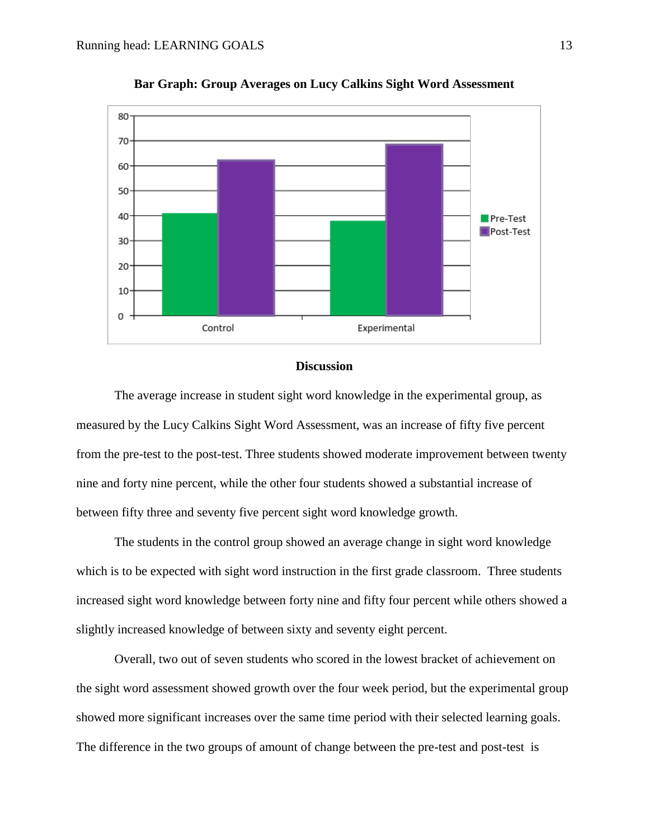

**Bar Graph: Group Averages on Lucy Calkins Sight Word Assessment**

#### **Discussion**

The average increase in student sight word knowledge in the experimental group, as measured by the Lucy Calkins Sight Word Assessment, was an increase of fifty five percent from the pre-test to the post-test. Three students showed moderate improvement between twenty nine and forty nine percent, while the other four students showed a substantial increase of between fifty three and seventy five percent sight word knowledge growth.

The students in the control group showed an average change in sight word knowledge which is to be expected with sight word instruction in the first grade classroom. Three students increased sight word knowledge between forty nine and fifty four percent while others showed a slightly increased knowledge of between sixty and seventy eight percent.

Overall, two out of seven students who scored in the lowest bracket of achievement on the sight word assessment showed growth over the four week period, but the experimental group showed more significant increases over the same time period with their selected learning goals. The difference in the two groups of amount of change between the pre-test and post-test is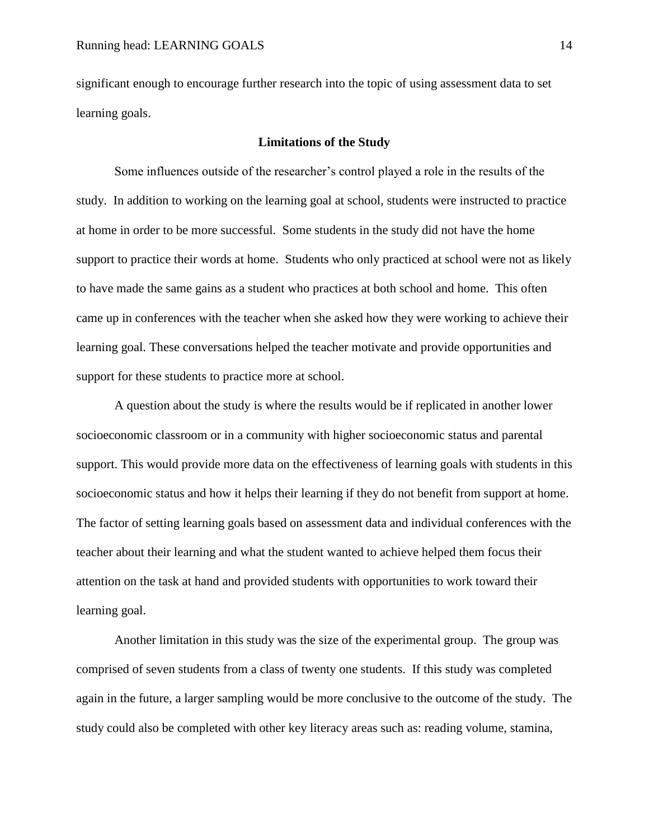significant enough to encourage further research into the topic of using assessment data to set learning goals.

# **Limitations of the Study**

Some influences outside of the researcher's control played a role in the results of the study. In addition to working on the learning goal at school, students were instructed to practice at home in order to be more successful. Some students in the study did not have the home support to practice their words at home. Students who only practiced at school were not as likely to have made the same gains as a student who practices at both school and home. This often came up in conferences with the teacher when she asked how they were working to achieve their learning goal. These conversations helped the teacher motivate and provide opportunities and support for these students to practice more at school.

A question about the study is where the results would be if replicated in another lower socioeconomic classroom or in a community with higher socioeconomic status and parental support. This would provide more data on the effectiveness of learning goals with students in this socioeconomic status and how it helps their learning if they do not benefit from support at home. The factor of setting learning goals based on assessment data and individual conferences with the teacher about their learning and what the student wanted to achieve helped them focus their attention on the task at hand and provided students with opportunities to work toward their learning goal.

Another limitation in this study was the size of the experimental group. The group was comprised of seven students from a class of twenty one students. If this study was completed again in the future, a larger sampling would be more conclusive to the outcome of the study. The study could also be completed with other key literacy areas such as: reading volume, stamina,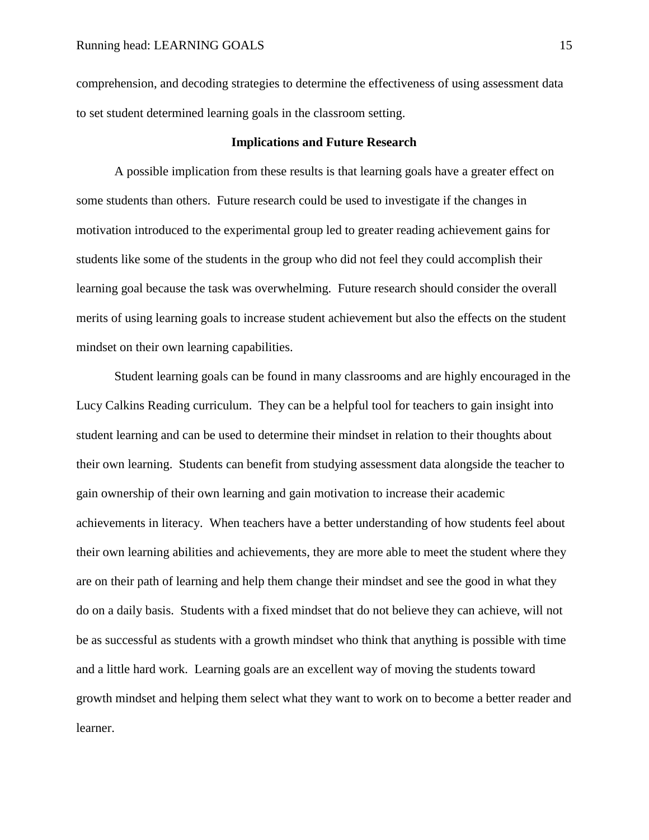comprehension, and decoding strategies to determine the effectiveness of using assessment data to set student determined learning goals in the classroom setting.

#### **Implications and Future Research**

A possible implication from these results is that learning goals have a greater effect on some students than others. Future research could be used to investigate if the changes in motivation introduced to the experimental group led to greater reading achievement gains for students like some of the students in the group who did not feel they could accomplish their learning goal because the task was overwhelming. Future research should consider the overall merits of using learning goals to increase student achievement but also the effects on the student mindset on their own learning capabilities.

Student learning goals can be found in many classrooms and are highly encouraged in the Lucy Calkins Reading curriculum. They can be a helpful tool for teachers to gain insight into student learning and can be used to determine their mindset in relation to their thoughts about their own learning. Students can benefit from studying assessment data alongside the teacher to gain ownership of their own learning and gain motivation to increase their academic achievements in literacy. When teachers have a better understanding of how students feel about their own learning abilities and achievements, they are more able to meet the student where they are on their path of learning and help them change their mindset and see the good in what they do on a daily basis. Students with a fixed mindset that do not believe they can achieve, will not be as successful as students with a growth mindset who think that anything is possible with time and a little hard work. Learning goals are an excellent way of moving the students toward growth mindset and helping them select what they want to work on to become a better reader and learner.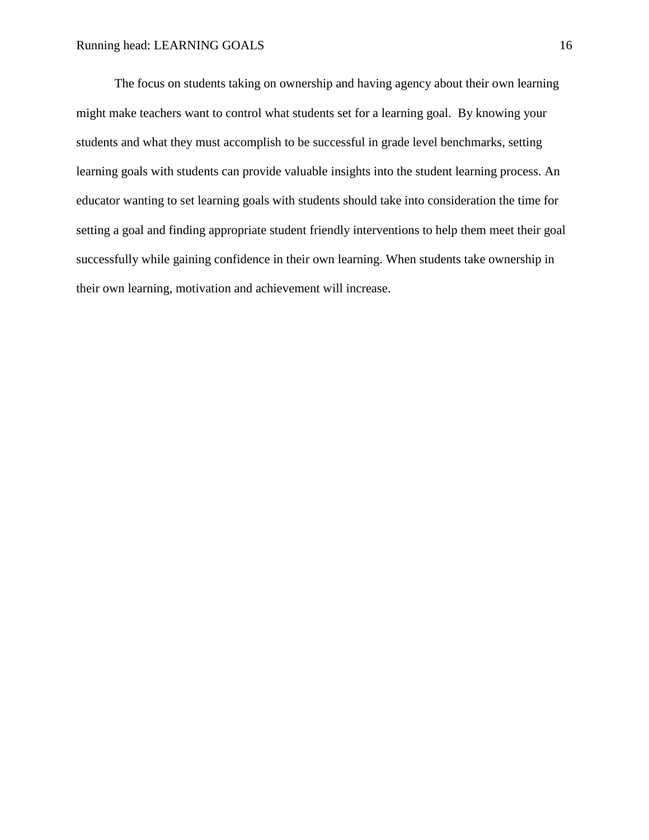The focus on students taking on ownership and having agency about their own learning might make teachers want to control what students set for a learning goal. By knowing your students and what they must accomplish to be successful in grade level benchmarks, setting learning goals with students can provide valuable insights into the student learning process. An educator wanting to set learning goals with students should take into consideration the time for setting a goal and finding appropriate student friendly interventions to help them meet their goal successfully while gaining confidence in their own learning. When students take ownership in their own learning, motivation and achievement will increase.